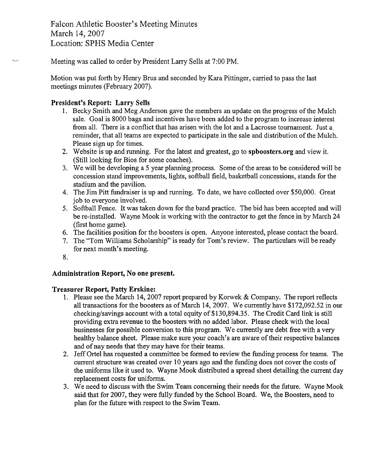Falcon Athletic Booster's Meeting Minutes March 14,2007 Location: SPHS Media Center

Meeting was called to order by President Larry Sells at 7:00 PM.

Motion was put forth by Henry Brus and seconded by Kara Pittinger, carried to pass the last meetings minutes (February 2007).

## **President's Report: Larry Sells**

- 1. Becky Smith and Meg Anderson gave the members an update on the progress of the Mulch sale. Goal is 8000 bags and incentives have been added to the program to increase interest from all. There is a conflict that has arisen with the lot and a Lacrosse tournament. Just a reminder, that all teams are expected to participate in the sale and distribution of the Mulch. Please sign up for times.
- 2. Website is up and running. For the latest and greatest, go to **spboosters.org** and view it. (Still looking for Bios for some coaches).
- 3. We will be developing a 5 year planning process. Some of the areas to be considered will be concession stand improvements, lights, softball field, basketball concessions, stands for the stadium and the pavilion.
- 4. The Jim Pitt fundraiser is up and running. To date, we have collected over \$50,000. Great job to everyone involved.
- 5. Softball Fence. It was taken down for the band practice. The bid has been accepted and will be re-installed. Wayne Mook is working with the contractor to get the fence in by March 24 (first home game).
- 6. The facilities position for the boosters is open. Anyone interested, please contact the board.
- 7. The "Tom Williams Scholarship" is ready for Tom's review. The particulars will be ready for next month's meeting.
- 8.

# **Administration Report, No one present.**

### **Treasurer Report, Patty Erskine:**

- 1. Please see the March 14, 2007 report prepared by Korwek & Company. The report reflects all transactions for the boosters as of March 14, 2007. We currently have \$172,092.52 in our checking/savings account with a total equity of \$130,894.35. The Credit Card link is still providing extra revenue to the boosters with no added labor. Please check with the local businesses for possible conversion to this program. We currently are debt free with a very healthy balance sheet. Please make sure your coach's are aware of their respective balances and of nay needs that they may have for their teams.
- 2. Jeff Ortel has requested a committee be formed to review the funding process for teams. The current structure was created over 10 years ago and the funding does not cover the costs of the uniforms like it used to. Wayne Mook distributed a spread sheet detailing the current day replacement costs for uniforms.
- 3. We need to discuss with the Swim Team concerning their needs for the future. Wayne Mook said that for 2007, they were fully funded by the School Board. We, the Boosters, need to plan for the future with respect to the Swim Team.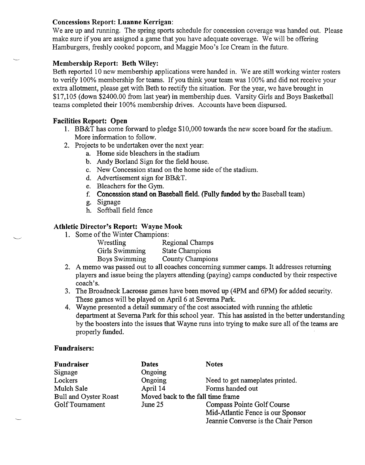### **Concessions Report: Luanne Kerrigan:**

We are up and running. The spring sports schedule for concession coverage was handed out. Please make sure if you are assigned a game that you have adequate coverage. We will be offering Hamburgers, freshly cooked popcorn, and Maggie Moo's Ice Cream in the future.

### **Membership Report: Beth Wiley:**

Beth reported 10 new membership applications were handed in. We are still working winter rosters to verify 100% membership for teams. If you think your team was 100% and did not receive your extra allotment, please get with Beth to rectify the situation. For the year, we have brought in \$17,105 (down \$2400.00 from last year) in membership dues. Varsity Girls and Boys Basketball teams completed their 100% membership drives. Accounts have been dispursed.

# **Facilities Report: Open**

 $\overline{\phantom{a}}$ 

- 1. BB&T has come forward to pledge \$10,000 towards the new score board for the stadium. More information to follow.
- 2. Projects to be undertaken over the next year:
	- a. Home side bleachers in the stadium
	- b. Andy Borland Sign for the field house.
	- c. New Concession stand on the home side of the stadium.
	- d. Advertisement sign for BB&T.
	- e. Bleachers for the Gym.
	- f. Concession stand on Baseball field. (Fully funded by the Baseball team)
	- g. Signage
	- h. Softball field fence

### **Athletic Director's Report: Wayne Mook**

1. Some of the Winter Champions:

| Wrestling      | Regional Champs         |
|----------------|-------------------------|
| Girls Swimming | <b>State Champions</b>  |
| Boys Swimming  | <b>County Champions</b> |

- 2. A memo was passed out to all coaches concerning summer camps. It addresses returning players and issue being the players attending (paying) camps conducted by their respective coach's.
- **3.** The Broadneck Lacrosse games have been moved up (4PM and 6PM) for added security. These games will be played on April 6 at Severna Park.
- 4. Wayne presented a detail summary of the cost associated with running the athletic department at Severna Park for this school year. This has assisted in the better understanding by the boosters into the issues that Wayne runs into trying to make sure all of the teams are properly funded.

### **Fundraisers:**

| Fundraiser                   | <b>Dates</b>                      | <b>Notes</b>                         |
|------------------------------|-----------------------------------|--------------------------------------|
| Signage                      | Ongoing                           |                                      |
| Lockers                      | Ongoing                           | Need to get nameplates printed.      |
| Mulch Sale                   | April 14                          | Forms handed out                     |
| <b>Bull and Oyster Roast</b> | Moved back to the fall time frame |                                      |
| Golf Tournament              | June 25                           | Compass Pointe Golf Course           |
|                              |                                   | Mid-Atlantic Fence is our Sponsor    |
|                              |                                   | Jeannie Converse is the Chair Person |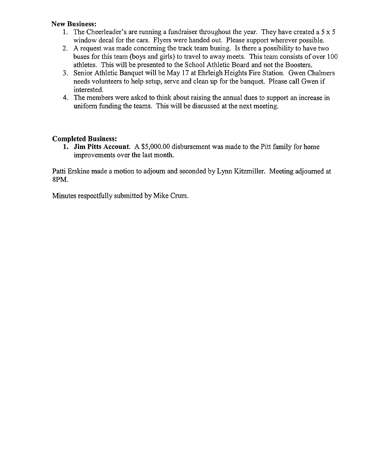### **New Business:**

- 1. The Cheerleader's are running a fundraiser throughout the year. They have created a 5 x 5 window decal for the cars. Flyers were handed out. Please support wherever possible.
- 2. A request was made concerning the track team busing. Is there a possibility to have two buses for this team (boys and girls) to travel to away meets. This team consists of over 100 athletes. This will be presented to the School Athletic Board and not the Boosters.
- **3.** Senior Athletic Banquet will be May 17 at Ehrleigh Heights Fire Station. Gwen Chalmers needs volunteers to help setup, serve and clean up for the banquet. Please call Gwen if interested.
- 4. The members were asked to think about raising the annual dues to support an increase in uniform funding the teams. This will be discussed at the next meeting.

# **Completed Business:**

**1. Jim Pitts Account.** A \$5,000.00 disbursement was made to the Pitt family for home improvements over the last month.

Patti Erskine made a motion to adjourn and seconded by Lynn Kitzmiller. Meeting adjourned at 8PM.

Minutes respectfully submitted by Mike Crum.